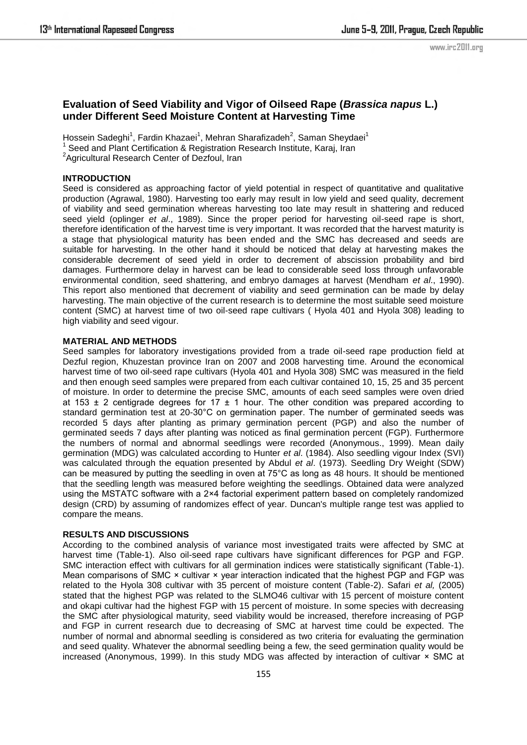## **Evaluation of Seed Viability and Vigor of Oilseed Rape (***Brassica napus* **L.) under Different Seed Moisture Content at Harvesting Time**

Hossein Sadeghi<sup>1</sup>, Fardin Khazaei<sup>1</sup>, Mehran Sharafizadeh<sup>2</sup>, Saman Sheydaei<sup>1</sup> 1 Seed and Plant Certification & Registration Research Institute, Karaj, Iran

<sup>2</sup> Agricultural Research Center of Dezfoul, Iran

## **INTRODUCTION**

Seed is considered as approaching factor of yield potential in respect of quantitative and qualitative production (Agrawal, 1980). Harvesting too early may result in low yield and seed quality, decrement of viability and seed germination whereas harvesting too late may result in shattering and reduced seed yield (oplinger *et al*., 1989). Since the proper period for harvesting oil-seed rape is short, therefore identification of the harvest time is very important. It was recorded that the harvest maturity is a stage that physiological maturity has been ended and the SMC has decreased and seeds are suitable for harvesting. In the other hand it should be noticed that delay at harvesting makes the considerable decrement of seed yield in order to decrement of abscission probability and bird damages. Furthermore delay in harvest can be lead to considerable seed loss through unfavorable environmental condition, seed shattering, and embryo damages at harvest (Mendham *et al*., 1990). This report also mentioned that decrement of viability and seed germination can be made by delay harvesting. The main objective of the current research is to determine the most suitable seed moisture content (SMC) at harvest time of two oil-seed rape cultivars ( Hyola 401 and Hyola 308) leading to high viability and seed vigour.

## **MATERIAL AND METHODS**

Seed samples for laboratory investigations provided from a trade oil-seed rape production field at Dezful region, Khuzestan province Iran on 2007 and 2008 harvesting time. Around the economical harvest time of two oil-seed rape cultivars (Hyola 401 and Hyola 308) SMC was measured in the field and then enough seed samples were prepared from each cultivar contained 10, 15, 25 and 35 percent of moisture. In order to determine the precise SMC, amounts of each seed samples were oven dried at 153  $\pm$  2 centigrade degrees for 17  $\pm$  1 hour. The other condition was prepared according to standard germination test at 20-30°C on germination paper. The number of germinated seeds was recorded 5 days after planting as primary germination percent (PGP) and also the number of germinated seeds 7 days after planting was noticed as final germination percent (FGP). Furthermore the numbers of normal and abnormal seedlings were recorded (Anonymous., 1999). Mean daily germination (MDG) was calculated according to Hunter *et al*. (1984). Also seedling vigour Index (SVI) was calculated through the equation presented by Abdul *et al*. (1973). Seedling Dry Weight (SDW) can be measured by putting the seedling in oven at 75°C as long as 48 hours. It should be mentioned that the seedling length was measured before weighting the seedlings. Obtained data were analyzed using the MSTATC software with a 2×4 factorial experiment pattern based on completely randomized design (CRD) by assuming of randomizes effect of year. Duncan's multiple range test was applied to compare the means.

## **RESULTS AND DISCUSSIONS**

According to the combined analysis of variance most investigated traits were affected by SMC at harvest time (Table-1). Also oil-seed rape cultivars have significant differences for PGP and FGP. SMC interaction effect with cultivars for all germination indices were statistically significant (Table-1). Mean comparisons of SMC  $\times$  cultivar  $\times$  year interaction indicated that the highest PGP and FGP was related to the Hyola 308 cultivar with 35 percent of moisture content (Table-2). Safari *et al,* (2005) stated that the highest PGP was related to the SLMO46 cultivar with 15 percent of moisture content and okapi cultivar had the highest FGP with 15 percent of moisture. In some species with decreasing the SMC after physiological maturity, seed viability would be increased, therefore increasing of PGP and FGP in current research due to decreasing of SMC at harvest time could be expected. The number of normal and abnormal seedling is considered as two criteria for evaluating the germination and seed quality. Whatever the abnormal seedling being a few, the seed germination quality would be increased (Anonymous, 1999). In this study MDG was affected by interaction of cultivar × SMC at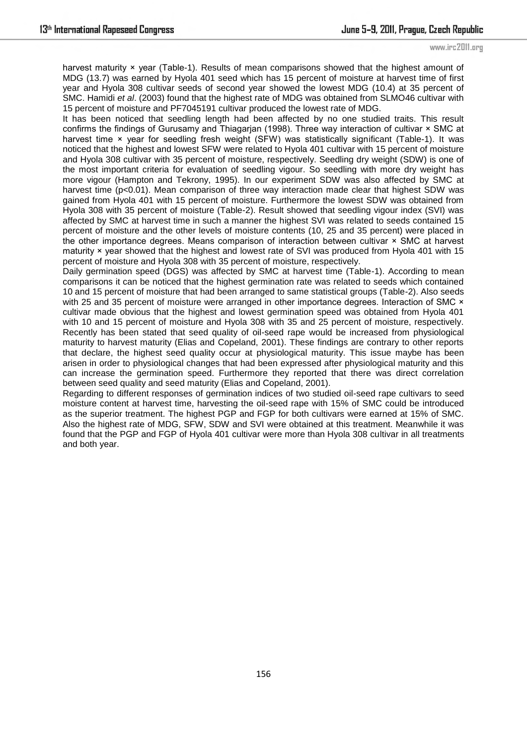harvest maturity × year (Table-1). Results of mean comparisons showed that the highest amount of MDG (13.7) was earned by Hyola 401 seed which has 15 percent of moisture at harvest time of first year and Hyola 308 cultivar seeds of second year showed the lowest MDG (10.4) at 35 percent of SMC. Hamidi *et al*. (2003) found that the highest rate of MDG was obtained from SLMO46 cultivar with 15 percent of moisture and PF7045191 cultivar produced the lowest rate of MDG.

It has been noticed that seedling length had been affected by no one studied traits. This result confirms the findings of Gurusamy and Thiagarjan (1998). Three way interaction of cultivar × SMC at harvest time x year for seedling fresh weight (SFW) was statistically significant (Table-1). It was noticed that the highest and lowest SFW were related to Hyola 401 cultivar with 15 percent of moisture and Hyola 308 cultivar with 35 percent of moisture, respectively. Seedling dry weight (SDW) is one of the most important criteria for evaluation of seedling vigour. So seedling with more dry weight has more vigour (Hampton and Tekrony, 1995). In our experiment SDW was also affected by SMC at harvest time (p<0.01). Mean comparison of three way interaction made clear that highest SDW was gained from Hyola 401 with 15 percent of moisture. Furthermore the lowest SDW was obtained from Hyola 308 with 35 percent of moisture (Table-2). Result showed that seedling vigour index (SVI) was affected by SMC at harvest time in such a manner the highest SVI was related to seeds contained 15 percent of moisture and the other levels of moisture contents (10, 25 and 35 percent) were placed in the other importance degrees. Means comparison of interaction between cultivar × SMC at harvest maturity × year showed that the highest and lowest rate of SVI was produced from Hyola 401 with 15 percent of moisture and Hyola 308 with 35 percent of moisture, respectively.

Daily germination speed (DGS) was affected by SMC at harvest time (Table-1). According to mean comparisons it can be noticed that the highest germination rate was related to seeds which contained 10 and 15 percent of moisture that had been arranged to same statistical groups (Table-2). Also seeds with 25 and 35 percent of moisture were arranged in other importance degrees. Interaction of SMC  $\times$ cultivar made obvious that the highest and lowest germination speed was obtained from Hyola 401 with 10 and 15 percent of moisture and Hyola 308 with 35 and 25 percent of moisture, respectively. Recently has been stated that seed quality of oil-seed rape would be increased from physiological maturity to harvest maturity (Elias and Copeland, 2001). These findings are contrary to other reports that declare, the highest seed quality occur at physiological maturity. This issue maybe has been arisen in order to physiological changes that had been expressed after physiological maturity and this can increase the germination speed. Furthermore they reported that there was direct correlation between seed quality and seed maturity (Elias and Copeland, 2001).

Regarding to different responses of germination indices of two studied oil-seed rape cultivars to seed moisture content at harvest time, harvesting the oil-seed rape with 15% of SMC could be introduced as the superior treatment. The highest PGP and FGP for both cultivars were earned at 15% of SMC. Also the highest rate of MDG, SFW, SDW and SVI were obtained at this treatment. Meanwhile it was found that the PGP and FGP of Hyola 401 cultivar were more than Hyola 308 cultivar in all treatments and both year.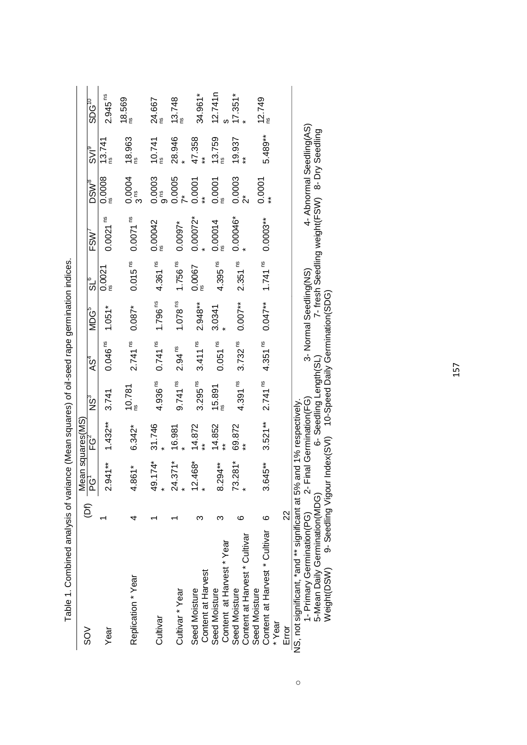| $\rm \lesssim$                                                      | $\overline{E}$ | Mean squares(MS)<br>$\frac{\overline{\text{PG}}^1}{\overline{\text{PG}}^2}$ |            | ÑN                     | AS <sup>4</sup>       | MDG <sup>5</sup>       | ືນຣ                      | FSW <sup>7</sup>     | <b>DSW<sup>8</sup></b>         | $\frac{1}{2}$          | $\overline{\text{SDG}}^{\text{TD}}$ |
|---------------------------------------------------------------------|----------------|-----------------------------------------------------------------------------|------------|------------------------|-----------------------|------------------------|--------------------------|----------------------|--------------------------------|------------------------|-------------------------------------|
| Year                                                                |                | $2.941***$                                                                  | $1.432***$ | 3.741                  | 0.046 <sup>ns</sup>   | $1.051*$               | 0.0021                   | 0.0021 <sup>ns</sup> | 0.0008                         | 13.741                 | 2.945 <sup>ns</sup>                 |
| Replication * Year                                                  |                | $4.861*$                                                                    | $6.342*$   | $10.781$ <sup>ns</sup> | 2.741 <sup>ns</sup>   | $0.087*$               | 0.015 <sup>ns</sup>      | 0.0071 <sup>ns</sup> | 0.0004<br>3 <sup>18</sup>      | $18.963$ <sup>ns</sup> | 18.569                              |
| Cultivar                                                            |                | 49.174*                                                                     | 31.746     | 4.936 <sup>ns</sup>    | $0.741$ <sup>ns</sup> | $1.796$ <sup>ns</sup>  | 4.361 <sup>ns</sup>      | 0.00042              | 0.0003<br>9™                   | 10.741                 | 24.667                              |
| Cultivar * Year                                                     |                | $24.371*$                                                                   | 16.981     | 9.741 <sup>ns</sup>    | 2.94 <sup>ns</sup>    | 1.078 <sup>ns</sup>    | $1.756$ $\mathrm{^{ns}}$ | $0.0097*$            | $0.0005$<br>$7*$               | 28.946                 | 13.748                              |
| Content at Harvest<br>Seed Moisture                                 |                | $12.468*$                                                                   | 14.872     | 3.295 <sup>ns</sup>    | 3.411 <sup>ns</sup>   | $2.948**$              | 0.0067                   | $0.00072*$           | 0.0001                         | 47.358                 | 34.961*                             |
| Content at Harvest * Year<br>Seed Moisture                          |                | 8.294**                                                                     | 14.852     | 15.891                 | 0.051 <sup>ns</sup>   | 3.0341                 | 4.395 <sup>ns</sup>      | 0.00014              | 0.0001                         | 13.759                 | 12.741n                             |
| Content at Harvest * Cultivar<br>Seed Moisture                      | ဖ              | $73.281*$                                                                   | 69.872     | 4.391 <sup>ns</sup>    | $3.732^{ns}$          | $0.007**$              | 2.351 <sup>ns</sup>      | $0.00046*$           | 0.0003<br>$\stackrel{*}{\sim}$ | 19.937                 | $17.351*$                           |
| Content at Harvest * Cultivar<br>Seed Moisture<br>*Year             | $\circ$        | 3.645**                                                                     | $3.521**$  | 2.741 <sup>ns</sup>    | 4.351 <sup>ns</sup>   | $0.047**$              | 1.741 $^{\text{ns}}$     | $0.0003***$          | 0.0001                         | 5.489**                | 12.749                              |
| Error                                                               | $\approx$      |                                                                             |            |                        |                       |                        |                          |                      |                                |                        |                                     |
| NS, not significant, *and ** significant at 5% and 1% respectively. |                |                                                                             |            |                        |                       |                        |                          |                      |                                |                        |                                     |
| 1- Primary Germination(PG) 2- Final Germination(FG)                 |                |                                                                             |            |                        |                       | 3- Normal Seedling(NS) |                          |                      | 4- Ahnormal Seedling(AS)       |                        |                                     |

Table 1. Combined analysis of variance (Mean squares) of oil-seed rape germination indices. Table 1. Combined analysis of variance (Mean squares) of oil-seed rape germination indices.

 $\circ$ 

1- Primary Germination(PG) 2- Final Germination(PG) 3- About Seedling(NG) 3- Normal Seedling(NG) 4- A 1- Primary Germination(PG) 2- Final Germination(FG) 3- Normal Seedling(NS) 4- Abnormal Seedling(AS)<br>5-Mean Daily Germination(MDG) 6- Seedling Length(SL) 7- fresh Seedling weight(FSW) 8- Dry Seedling<br>Weigh 5-Mean Daily Germination(MDG) 6- Seedling Length(SL) 7- fresh Seedling weight(FSW) 8- Dry Seedling Weight(Date Charage Dansday) 10-Speed Daily Service Daily Seedles Daily Seedles Daily Seedles Daily G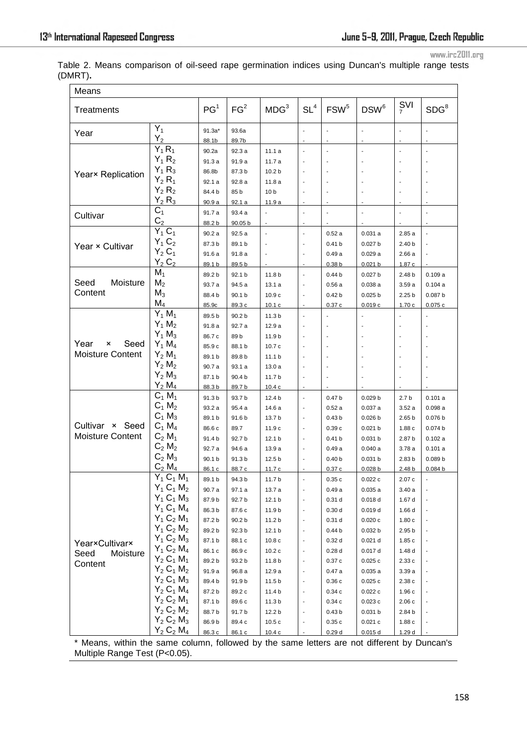www.irc2011.org

Table 2. Means comparison of oil-seed rape germination indices using Duncan's multiple range tests (DMRT)**.** 

| $\frac{SVI}{7}$<br>FG <sup>2</sup><br>MDG <sup>3</sup><br>$SL^4$<br>DSW <sup>6</sup><br>SDG <sup>8</sup><br>PG <sup>1</sup><br>FSW <sup>5</sup><br>Treatments<br>$Y_1$<br>$91.3a*$<br>93.6a<br>$\overline{\phantom{a}}$<br>Year<br>$Y_2$<br>88.1b<br>89.7b<br>$\overline{\phantom{a}}$<br>$Y_1 R_1$<br>$\overline{a}$<br>90.2a<br>92.3 a<br>11.1a<br>$\blacksquare$<br>$\blacksquare$<br>$Y_1 R_2$<br>91.3 a<br>91.9 a<br>11.7 a<br>$Y_1 R_3$<br>86.8b<br>87.3 b<br>10.2 <sub>b</sub><br>Year× Replication<br>$Y_2 R_1$<br>92.1a<br>92.8 a<br>11.8a<br>$\overline{\phantom{a}}$<br>$Y_2 R_2$<br>84.4 b<br>85 b<br>10 <sub>b</sub><br>$Y_2 R_3$<br>90.9a<br>92.1a<br>11.9 a<br>$C_1$<br>91.7 a<br>93.4 a<br>$\overline{\phantom{a}}$<br>$\overline{\phantom{a}}$<br>Cultivar<br>C <sub>2</sub><br>88.2 b<br>90.05 b<br>$\overline{\phantom{a}}$<br>$Y_1C_1$<br>90.2 a<br>92.5 a<br>0.52a<br>0.031a<br>2.85a<br>$\overline{\phantom{a}}$<br>$\blacksquare$<br>$\mathbf{r}$<br>$Y_1 C_2$<br>87.3 b<br>89.1 b<br>0.027 b<br>$\overline{\phantom{a}}$<br>0.41 <sub>b</sub><br>2.40 <sub>b</sub><br>Year × Cultivar<br>$Y_2C_1$<br>91.6 a<br>91.8 a<br>0.029a<br>0.49a<br>2.66a<br>$\overline{\phantom{a}}$<br>$Y_2C_2$<br>89.1 b<br>89.5 b<br>0.021 b<br>0.38 <sub>b</sub><br>1.87c<br>$M_1$<br>89.2 b<br>92.1 <sub>b</sub><br>11.8 b<br>0.027 <sub>b</sub><br>0.109a<br>0.44 <sub>b</sub><br>2.48 b<br>Seed<br>Moisture<br>M <sub>2</sub><br>94.5 a<br>93.7 a<br>13.1a<br>0.56a<br>0.038a<br>3.59a<br>0.104a<br>Content<br>$M_3$<br>90.1 b<br>0.025 b<br>2.25 <sub>b</sub><br>0.087 <sub>b</sub><br>88.4 b<br>10.9c<br>0.42 <sub>b</sub><br>$M_4$<br>85.9c<br>89.3 c<br>10.1c<br>0.019c<br>1.70c<br>0.075c<br>0.37c<br>$Y_1 M_1$<br>89.5 b<br>90.2 b<br>11.3 <sub>b</sub><br>$\blacksquare$<br>$Y_1 M_2$<br>91.8 a<br>92.7 a<br>12.9 a<br>$Y_1 M_3$<br>89 b<br>86.7 c<br>11.9 b<br>Year<br>Seed<br>$Y_1 M_4$<br>×<br>85.9 c<br>88.1 b<br>10.7c<br>$\sim$<br>Moisture Content<br>$Y_2 M_1$<br>89.1 b<br>89.8 b<br>11.1 <sub>b</sub><br>$\sim$<br>$Y_2 M_2$<br>90.7 a<br>93.1 a<br>13.0a<br>$\overline{\phantom{a}}$<br>$Y_2 M_3$<br>87.1 b<br>90.4 b<br>11.7 b<br>÷,<br>$\mathbf{r}$<br>$Y_2 M_4$<br>88.3 b<br>89.7 b<br>10.4c<br>$C_1 M_1$<br>91.3 b<br>93.7 b<br>12.4 b<br>0.47 <sub>b</sub><br>0.029 <sub>b</sub><br>2.7 <sub>b</sub><br>0.101a<br>$\overline{\phantom{a}}$<br>$C_1 M_2$<br>93.2 a<br>95.4 a<br>0.037a<br>0.098a<br>14.6 a<br>0.52a<br>3.52a<br>$\overline{\phantom{a}}$<br>$C_1 M_3$<br>89.1 b<br>91.6 b<br>0.076 b<br>13.7 b<br>0.43 <sub>b</sub><br>0.026 b<br>2.65 <sub>b</sub><br>$\overline{\phantom{a}}$<br>Cultivar<br>× Seed<br>$C_1 M_4$<br>86.6 c<br>89.7<br>11.9 c<br>0.39c<br>0.021 b<br>1.88c<br>0.074 <sub>b</sub><br><b>Moisture Content</b><br>$C_2 M_1$<br>92.7 b<br>91.4 b<br>12.1 <sub>b</sub><br>0.41 <sub>b</sub><br>0.031 b<br>2.87 b<br>0.102a<br>$C_2 M_2$<br>92.7 a<br>94.6 a<br>0.040a<br>0.101a<br>13.9 a<br>0.49a<br>3.78a<br>$\overline{\phantom{a}}$<br>$C_2 M_3$<br>90.1 b<br>91.3 b<br>12.5 <sub>b</sub><br>0.031 b<br>2.83 <sub>b</sub><br>0.089 b<br>$\overline{a}$<br>0.40 <sub>b</sub><br>$C_2 M_4$<br>86.1 c<br>88.7 c<br>11.7c<br>2.48 <sub>b</sub><br>0.084 <sub>b</sub><br>0.37c<br>0.028 b<br>$Y_1 C_1 M_1$<br>89.1 b<br>94.3 b<br>$11.7b$<br>0.022c<br>2.07c<br>0.35c<br>$Y_1 C_1 M_2$<br>90.7 a<br>97.1 a<br>13.7 a<br>0.49a<br>0.035a<br>3.40a<br>$Y_1 C_1 M_3$<br>87.9 b<br>0.018d<br>92.7 b<br>12.1 b<br>0.31 <sub>d</sub><br>1.67 d<br>$\overline{\phantom{a}}$<br>$Y_1 C_1 M_4$<br>86.3 b<br>0.019d<br>87.6 c<br>11.9 b<br>0.30 <sub>d</sub><br>1.66 d<br>$\blacksquare$<br>$Y_1 C_2 M_1$<br>87.2 b<br>90.2 b<br>11.2 b<br>0.31 <sub>d</sub><br>0.020c<br>1.80c<br>$\overline{\phantom{a}}$<br>$Y_1 C_2 M_2$<br>89.2 b<br>92.3 b<br>12.1 b<br>0.44 <sub>b</sub><br>0.032 b<br>2.95 b<br>$\overline{\phantom{a}}$<br>$Y_1 C_2 M_3$<br>87.1 b<br>88.1 c<br>10.8 <sub>c</sub><br>0.021 d<br>1.85c<br>0.32 <sub>d</sub><br>Year×Cultivar×<br>$Y_1 C_2 M_4$<br>86.1 c<br>86.9 c<br>10.2c<br>0.28d<br>0.017d<br>1.48 d | Means                       |               |  |  |  |  |
|---------------------------------------------------------------------------------------------------------------------------------------------------------------------------------------------------------------------------------------------------------------------------------------------------------------------------------------------------------------------------------------------------------------------------------------------------------------------------------------------------------------------------------------------------------------------------------------------------------------------------------------------------------------------------------------------------------------------------------------------------------------------------------------------------------------------------------------------------------------------------------------------------------------------------------------------------------------------------------------------------------------------------------------------------------------------------------------------------------------------------------------------------------------------------------------------------------------------------------------------------------------------------------------------------------------------------------------------------------------------------------------------------------------------------------------------------------------------------------------------------------------------------------------------------------------------------------------------------------------------------------------------------------------------------------------------------------------------------------------------------------------------------------------------------------------------------------------------------------------------------------------------------------------------------------------------------------------------------------------------------------------------------------------------------------------------------------------------------------------------------------------------------------------------------------------------------------------------------------------------------------------------------------------------------------------------------------------------------------------------------------------------------------------------------------------------------------------------------------------------------------------------------------------------------------------------------------------------------------------------------------------------------------------------------------------------------------------------------------------------------------------------------------------------------------------------------------------------------------------------------------------------------------------------------------------------------------------------------------------------------------------------------------------------------------------------------------------------------------------------------------------------------------------------------------------------------------------------------------------------------------------------------------------------------------------------------------------------------------------------------------------------------------------------------------------------------------------------------------------------------------------------------------------------------------------------------------------------------------------------------------------------------------------------------------------------------------------------------------------------------------------------------------------------------------------------------------------------------------------------------------------------------------------------------------------------------------------------------------------------------------------------------------------------------------------------------------|-----------------------------|---------------|--|--|--|--|
|                                                                                                                                                                                                                                                                                                                                                                                                                                                                                                                                                                                                                                                                                                                                                                                                                                                                                                                                                                                                                                                                                                                                                                                                                                                                                                                                                                                                                                                                                                                                                                                                                                                                                                                                                                                                                                                                                                                                                                                                                                                                                                                                                                                                                                                                                                                                                                                                                                                                                                                                                                                                                                                                                                                                                                                                                                                                                                                                                                                                                                                                                                                                                                                                                                                                                                                                                                                                                                                                                                                                                                                                                                                                                                                                                                                                                                                                                                                                                                                                                                                                                 |                             |               |  |  |  |  |
|                                                                                                                                                                                                                                                                                                                                                                                                                                                                                                                                                                                                                                                                                                                                                                                                                                                                                                                                                                                                                                                                                                                                                                                                                                                                                                                                                                                                                                                                                                                                                                                                                                                                                                                                                                                                                                                                                                                                                                                                                                                                                                                                                                                                                                                                                                                                                                                                                                                                                                                                                                                                                                                                                                                                                                                                                                                                                                                                                                                                                                                                                                                                                                                                                                                                                                                                                                                                                                                                                                                                                                                                                                                                                                                                                                                                                                                                                                                                                                                                                                                                                 |                             |               |  |  |  |  |
|                                                                                                                                                                                                                                                                                                                                                                                                                                                                                                                                                                                                                                                                                                                                                                                                                                                                                                                                                                                                                                                                                                                                                                                                                                                                                                                                                                                                                                                                                                                                                                                                                                                                                                                                                                                                                                                                                                                                                                                                                                                                                                                                                                                                                                                                                                                                                                                                                                                                                                                                                                                                                                                                                                                                                                                                                                                                                                                                                                                                                                                                                                                                                                                                                                                                                                                                                                                                                                                                                                                                                                                                                                                                                                                                                                                                                                                                                                                                                                                                                                                                                 |                             |               |  |  |  |  |
|                                                                                                                                                                                                                                                                                                                                                                                                                                                                                                                                                                                                                                                                                                                                                                                                                                                                                                                                                                                                                                                                                                                                                                                                                                                                                                                                                                                                                                                                                                                                                                                                                                                                                                                                                                                                                                                                                                                                                                                                                                                                                                                                                                                                                                                                                                                                                                                                                                                                                                                                                                                                                                                                                                                                                                                                                                                                                                                                                                                                                                                                                                                                                                                                                                                                                                                                                                                                                                                                                                                                                                                                                                                                                                                                                                                                                                                                                                                                                                                                                                                                                 |                             |               |  |  |  |  |
|                                                                                                                                                                                                                                                                                                                                                                                                                                                                                                                                                                                                                                                                                                                                                                                                                                                                                                                                                                                                                                                                                                                                                                                                                                                                                                                                                                                                                                                                                                                                                                                                                                                                                                                                                                                                                                                                                                                                                                                                                                                                                                                                                                                                                                                                                                                                                                                                                                                                                                                                                                                                                                                                                                                                                                                                                                                                                                                                                                                                                                                                                                                                                                                                                                                                                                                                                                                                                                                                                                                                                                                                                                                                                                                                                                                                                                                                                                                                                                                                                                                                                 |                             |               |  |  |  |  |
|                                                                                                                                                                                                                                                                                                                                                                                                                                                                                                                                                                                                                                                                                                                                                                                                                                                                                                                                                                                                                                                                                                                                                                                                                                                                                                                                                                                                                                                                                                                                                                                                                                                                                                                                                                                                                                                                                                                                                                                                                                                                                                                                                                                                                                                                                                                                                                                                                                                                                                                                                                                                                                                                                                                                                                                                                                                                                                                                                                                                                                                                                                                                                                                                                                                                                                                                                                                                                                                                                                                                                                                                                                                                                                                                                                                                                                                                                                                                                                                                                                                                                 |                             |               |  |  |  |  |
|                                                                                                                                                                                                                                                                                                                                                                                                                                                                                                                                                                                                                                                                                                                                                                                                                                                                                                                                                                                                                                                                                                                                                                                                                                                                                                                                                                                                                                                                                                                                                                                                                                                                                                                                                                                                                                                                                                                                                                                                                                                                                                                                                                                                                                                                                                                                                                                                                                                                                                                                                                                                                                                                                                                                                                                                                                                                                                                                                                                                                                                                                                                                                                                                                                                                                                                                                                                                                                                                                                                                                                                                                                                                                                                                                                                                                                                                                                                                                                                                                                                                                 |                             |               |  |  |  |  |
|                                                                                                                                                                                                                                                                                                                                                                                                                                                                                                                                                                                                                                                                                                                                                                                                                                                                                                                                                                                                                                                                                                                                                                                                                                                                                                                                                                                                                                                                                                                                                                                                                                                                                                                                                                                                                                                                                                                                                                                                                                                                                                                                                                                                                                                                                                                                                                                                                                                                                                                                                                                                                                                                                                                                                                                                                                                                                                                                                                                                                                                                                                                                                                                                                                                                                                                                                                                                                                                                                                                                                                                                                                                                                                                                                                                                                                                                                                                                                                                                                                                                                 |                             |               |  |  |  |  |
|                                                                                                                                                                                                                                                                                                                                                                                                                                                                                                                                                                                                                                                                                                                                                                                                                                                                                                                                                                                                                                                                                                                                                                                                                                                                                                                                                                                                                                                                                                                                                                                                                                                                                                                                                                                                                                                                                                                                                                                                                                                                                                                                                                                                                                                                                                                                                                                                                                                                                                                                                                                                                                                                                                                                                                                                                                                                                                                                                                                                                                                                                                                                                                                                                                                                                                                                                                                                                                                                                                                                                                                                                                                                                                                                                                                                                                                                                                                                                                                                                                                                                 |                             |               |  |  |  |  |
|                                                                                                                                                                                                                                                                                                                                                                                                                                                                                                                                                                                                                                                                                                                                                                                                                                                                                                                                                                                                                                                                                                                                                                                                                                                                                                                                                                                                                                                                                                                                                                                                                                                                                                                                                                                                                                                                                                                                                                                                                                                                                                                                                                                                                                                                                                                                                                                                                                                                                                                                                                                                                                                                                                                                                                                                                                                                                                                                                                                                                                                                                                                                                                                                                                                                                                                                                                                                                                                                                                                                                                                                                                                                                                                                                                                                                                                                                                                                                                                                                                                                                 |                             |               |  |  |  |  |
|                                                                                                                                                                                                                                                                                                                                                                                                                                                                                                                                                                                                                                                                                                                                                                                                                                                                                                                                                                                                                                                                                                                                                                                                                                                                                                                                                                                                                                                                                                                                                                                                                                                                                                                                                                                                                                                                                                                                                                                                                                                                                                                                                                                                                                                                                                                                                                                                                                                                                                                                                                                                                                                                                                                                                                                                                                                                                                                                                                                                                                                                                                                                                                                                                                                                                                                                                                                                                                                                                                                                                                                                                                                                                                                                                                                                                                                                                                                                                                                                                                                                                 |                             |               |  |  |  |  |
|                                                                                                                                                                                                                                                                                                                                                                                                                                                                                                                                                                                                                                                                                                                                                                                                                                                                                                                                                                                                                                                                                                                                                                                                                                                                                                                                                                                                                                                                                                                                                                                                                                                                                                                                                                                                                                                                                                                                                                                                                                                                                                                                                                                                                                                                                                                                                                                                                                                                                                                                                                                                                                                                                                                                                                                                                                                                                                                                                                                                                                                                                                                                                                                                                                                                                                                                                                                                                                                                                                                                                                                                                                                                                                                                                                                                                                                                                                                                                                                                                                                                                 |                             |               |  |  |  |  |
|                                                                                                                                                                                                                                                                                                                                                                                                                                                                                                                                                                                                                                                                                                                                                                                                                                                                                                                                                                                                                                                                                                                                                                                                                                                                                                                                                                                                                                                                                                                                                                                                                                                                                                                                                                                                                                                                                                                                                                                                                                                                                                                                                                                                                                                                                                                                                                                                                                                                                                                                                                                                                                                                                                                                                                                                                                                                                                                                                                                                                                                                                                                                                                                                                                                                                                                                                                                                                                                                                                                                                                                                                                                                                                                                                                                                                                                                                                                                                                                                                                                                                 |                             |               |  |  |  |  |
|                                                                                                                                                                                                                                                                                                                                                                                                                                                                                                                                                                                                                                                                                                                                                                                                                                                                                                                                                                                                                                                                                                                                                                                                                                                                                                                                                                                                                                                                                                                                                                                                                                                                                                                                                                                                                                                                                                                                                                                                                                                                                                                                                                                                                                                                                                                                                                                                                                                                                                                                                                                                                                                                                                                                                                                                                                                                                                                                                                                                                                                                                                                                                                                                                                                                                                                                                                                                                                                                                                                                                                                                                                                                                                                                                                                                                                                                                                                                                                                                                                                                                 |                             |               |  |  |  |  |
|                                                                                                                                                                                                                                                                                                                                                                                                                                                                                                                                                                                                                                                                                                                                                                                                                                                                                                                                                                                                                                                                                                                                                                                                                                                                                                                                                                                                                                                                                                                                                                                                                                                                                                                                                                                                                                                                                                                                                                                                                                                                                                                                                                                                                                                                                                                                                                                                                                                                                                                                                                                                                                                                                                                                                                                                                                                                                                                                                                                                                                                                                                                                                                                                                                                                                                                                                                                                                                                                                                                                                                                                                                                                                                                                                                                                                                                                                                                                                                                                                                                                                 |                             |               |  |  |  |  |
|                                                                                                                                                                                                                                                                                                                                                                                                                                                                                                                                                                                                                                                                                                                                                                                                                                                                                                                                                                                                                                                                                                                                                                                                                                                                                                                                                                                                                                                                                                                                                                                                                                                                                                                                                                                                                                                                                                                                                                                                                                                                                                                                                                                                                                                                                                                                                                                                                                                                                                                                                                                                                                                                                                                                                                                                                                                                                                                                                                                                                                                                                                                                                                                                                                                                                                                                                                                                                                                                                                                                                                                                                                                                                                                                                                                                                                                                                                                                                                                                                                                                                 |                             |               |  |  |  |  |
|                                                                                                                                                                                                                                                                                                                                                                                                                                                                                                                                                                                                                                                                                                                                                                                                                                                                                                                                                                                                                                                                                                                                                                                                                                                                                                                                                                                                                                                                                                                                                                                                                                                                                                                                                                                                                                                                                                                                                                                                                                                                                                                                                                                                                                                                                                                                                                                                                                                                                                                                                                                                                                                                                                                                                                                                                                                                                                                                                                                                                                                                                                                                                                                                                                                                                                                                                                                                                                                                                                                                                                                                                                                                                                                                                                                                                                                                                                                                                                                                                                                                                 |                             |               |  |  |  |  |
|                                                                                                                                                                                                                                                                                                                                                                                                                                                                                                                                                                                                                                                                                                                                                                                                                                                                                                                                                                                                                                                                                                                                                                                                                                                                                                                                                                                                                                                                                                                                                                                                                                                                                                                                                                                                                                                                                                                                                                                                                                                                                                                                                                                                                                                                                                                                                                                                                                                                                                                                                                                                                                                                                                                                                                                                                                                                                                                                                                                                                                                                                                                                                                                                                                                                                                                                                                                                                                                                                                                                                                                                                                                                                                                                                                                                                                                                                                                                                                                                                                                                                 |                             |               |  |  |  |  |
|                                                                                                                                                                                                                                                                                                                                                                                                                                                                                                                                                                                                                                                                                                                                                                                                                                                                                                                                                                                                                                                                                                                                                                                                                                                                                                                                                                                                                                                                                                                                                                                                                                                                                                                                                                                                                                                                                                                                                                                                                                                                                                                                                                                                                                                                                                                                                                                                                                                                                                                                                                                                                                                                                                                                                                                                                                                                                                                                                                                                                                                                                                                                                                                                                                                                                                                                                                                                                                                                                                                                                                                                                                                                                                                                                                                                                                                                                                                                                                                                                                                                                 |                             |               |  |  |  |  |
|                                                                                                                                                                                                                                                                                                                                                                                                                                                                                                                                                                                                                                                                                                                                                                                                                                                                                                                                                                                                                                                                                                                                                                                                                                                                                                                                                                                                                                                                                                                                                                                                                                                                                                                                                                                                                                                                                                                                                                                                                                                                                                                                                                                                                                                                                                                                                                                                                                                                                                                                                                                                                                                                                                                                                                                                                                                                                                                                                                                                                                                                                                                                                                                                                                                                                                                                                                                                                                                                                                                                                                                                                                                                                                                                                                                                                                                                                                                                                                                                                                                                                 |                             |               |  |  |  |  |
|                                                                                                                                                                                                                                                                                                                                                                                                                                                                                                                                                                                                                                                                                                                                                                                                                                                                                                                                                                                                                                                                                                                                                                                                                                                                                                                                                                                                                                                                                                                                                                                                                                                                                                                                                                                                                                                                                                                                                                                                                                                                                                                                                                                                                                                                                                                                                                                                                                                                                                                                                                                                                                                                                                                                                                                                                                                                                                                                                                                                                                                                                                                                                                                                                                                                                                                                                                                                                                                                                                                                                                                                                                                                                                                                                                                                                                                                                                                                                                                                                                                                                 |                             |               |  |  |  |  |
|                                                                                                                                                                                                                                                                                                                                                                                                                                                                                                                                                                                                                                                                                                                                                                                                                                                                                                                                                                                                                                                                                                                                                                                                                                                                                                                                                                                                                                                                                                                                                                                                                                                                                                                                                                                                                                                                                                                                                                                                                                                                                                                                                                                                                                                                                                                                                                                                                                                                                                                                                                                                                                                                                                                                                                                                                                                                                                                                                                                                                                                                                                                                                                                                                                                                                                                                                                                                                                                                                                                                                                                                                                                                                                                                                                                                                                                                                                                                                                                                                                                                                 |                             |               |  |  |  |  |
|                                                                                                                                                                                                                                                                                                                                                                                                                                                                                                                                                                                                                                                                                                                                                                                                                                                                                                                                                                                                                                                                                                                                                                                                                                                                                                                                                                                                                                                                                                                                                                                                                                                                                                                                                                                                                                                                                                                                                                                                                                                                                                                                                                                                                                                                                                                                                                                                                                                                                                                                                                                                                                                                                                                                                                                                                                                                                                                                                                                                                                                                                                                                                                                                                                                                                                                                                                                                                                                                                                                                                                                                                                                                                                                                                                                                                                                                                                                                                                                                                                                                                 |                             |               |  |  |  |  |
|                                                                                                                                                                                                                                                                                                                                                                                                                                                                                                                                                                                                                                                                                                                                                                                                                                                                                                                                                                                                                                                                                                                                                                                                                                                                                                                                                                                                                                                                                                                                                                                                                                                                                                                                                                                                                                                                                                                                                                                                                                                                                                                                                                                                                                                                                                                                                                                                                                                                                                                                                                                                                                                                                                                                                                                                                                                                                                                                                                                                                                                                                                                                                                                                                                                                                                                                                                                                                                                                                                                                                                                                                                                                                                                                                                                                                                                                                                                                                                                                                                                                                 |                             |               |  |  |  |  |
|                                                                                                                                                                                                                                                                                                                                                                                                                                                                                                                                                                                                                                                                                                                                                                                                                                                                                                                                                                                                                                                                                                                                                                                                                                                                                                                                                                                                                                                                                                                                                                                                                                                                                                                                                                                                                                                                                                                                                                                                                                                                                                                                                                                                                                                                                                                                                                                                                                                                                                                                                                                                                                                                                                                                                                                                                                                                                                                                                                                                                                                                                                                                                                                                                                                                                                                                                                                                                                                                                                                                                                                                                                                                                                                                                                                                                                                                                                                                                                                                                                                                                 |                             |               |  |  |  |  |
|                                                                                                                                                                                                                                                                                                                                                                                                                                                                                                                                                                                                                                                                                                                                                                                                                                                                                                                                                                                                                                                                                                                                                                                                                                                                                                                                                                                                                                                                                                                                                                                                                                                                                                                                                                                                                                                                                                                                                                                                                                                                                                                                                                                                                                                                                                                                                                                                                                                                                                                                                                                                                                                                                                                                                                                                                                                                                                                                                                                                                                                                                                                                                                                                                                                                                                                                                                                                                                                                                                                                                                                                                                                                                                                                                                                                                                                                                                                                                                                                                                                                                 |                             |               |  |  |  |  |
|                                                                                                                                                                                                                                                                                                                                                                                                                                                                                                                                                                                                                                                                                                                                                                                                                                                                                                                                                                                                                                                                                                                                                                                                                                                                                                                                                                                                                                                                                                                                                                                                                                                                                                                                                                                                                                                                                                                                                                                                                                                                                                                                                                                                                                                                                                                                                                                                                                                                                                                                                                                                                                                                                                                                                                                                                                                                                                                                                                                                                                                                                                                                                                                                                                                                                                                                                                                                                                                                                                                                                                                                                                                                                                                                                                                                                                                                                                                                                                                                                                                                                 |                             |               |  |  |  |  |
|                                                                                                                                                                                                                                                                                                                                                                                                                                                                                                                                                                                                                                                                                                                                                                                                                                                                                                                                                                                                                                                                                                                                                                                                                                                                                                                                                                                                                                                                                                                                                                                                                                                                                                                                                                                                                                                                                                                                                                                                                                                                                                                                                                                                                                                                                                                                                                                                                                                                                                                                                                                                                                                                                                                                                                                                                                                                                                                                                                                                                                                                                                                                                                                                                                                                                                                                                                                                                                                                                                                                                                                                                                                                                                                                                                                                                                                                                                                                                                                                                                                                                 |                             |               |  |  |  |  |
|                                                                                                                                                                                                                                                                                                                                                                                                                                                                                                                                                                                                                                                                                                                                                                                                                                                                                                                                                                                                                                                                                                                                                                                                                                                                                                                                                                                                                                                                                                                                                                                                                                                                                                                                                                                                                                                                                                                                                                                                                                                                                                                                                                                                                                                                                                                                                                                                                                                                                                                                                                                                                                                                                                                                                                                                                                                                                                                                                                                                                                                                                                                                                                                                                                                                                                                                                                                                                                                                                                                                                                                                                                                                                                                                                                                                                                                                                                                                                                                                                                                                                 |                             |               |  |  |  |  |
|                                                                                                                                                                                                                                                                                                                                                                                                                                                                                                                                                                                                                                                                                                                                                                                                                                                                                                                                                                                                                                                                                                                                                                                                                                                                                                                                                                                                                                                                                                                                                                                                                                                                                                                                                                                                                                                                                                                                                                                                                                                                                                                                                                                                                                                                                                                                                                                                                                                                                                                                                                                                                                                                                                                                                                                                                                                                                                                                                                                                                                                                                                                                                                                                                                                                                                                                                                                                                                                                                                                                                                                                                                                                                                                                                                                                                                                                                                                                                                                                                                                                                 |                             |               |  |  |  |  |
|                                                                                                                                                                                                                                                                                                                                                                                                                                                                                                                                                                                                                                                                                                                                                                                                                                                                                                                                                                                                                                                                                                                                                                                                                                                                                                                                                                                                                                                                                                                                                                                                                                                                                                                                                                                                                                                                                                                                                                                                                                                                                                                                                                                                                                                                                                                                                                                                                                                                                                                                                                                                                                                                                                                                                                                                                                                                                                                                                                                                                                                                                                                                                                                                                                                                                                                                                                                                                                                                                                                                                                                                                                                                                                                                                                                                                                                                                                                                                                                                                                                                                 |                             |               |  |  |  |  |
|                                                                                                                                                                                                                                                                                                                                                                                                                                                                                                                                                                                                                                                                                                                                                                                                                                                                                                                                                                                                                                                                                                                                                                                                                                                                                                                                                                                                                                                                                                                                                                                                                                                                                                                                                                                                                                                                                                                                                                                                                                                                                                                                                                                                                                                                                                                                                                                                                                                                                                                                                                                                                                                                                                                                                                                                                                                                                                                                                                                                                                                                                                                                                                                                                                                                                                                                                                                                                                                                                                                                                                                                                                                                                                                                                                                                                                                                                                                                                                                                                                                                                 |                             |               |  |  |  |  |
|                                                                                                                                                                                                                                                                                                                                                                                                                                                                                                                                                                                                                                                                                                                                                                                                                                                                                                                                                                                                                                                                                                                                                                                                                                                                                                                                                                                                                                                                                                                                                                                                                                                                                                                                                                                                                                                                                                                                                                                                                                                                                                                                                                                                                                                                                                                                                                                                                                                                                                                                                                                                                                                                                                                                                                                                                                                                                                                                                                                                                                                                                                                                                                                                                                                                                                                                                                                                                                                                                                                                                                                                                                                                                                                                                                                                                                                                                                                                                                                                                                                                                 |                             |               |  |  |  |  |
|                                                                                                                                                                                                                                                                                                                                                                                                                                                                                                                                                                                                                                                                                                                                                                                                                                                                                                                                                                                                                                                                                                                                                                                                                                                                                                                                                                                                                                                                                                                                                                                                                                                                                                                                                                                                                                                                                                                                                                                                                                                                                                                                                                                                                                                                                                                                                                                                                                                                                                                                                                                                                                                                                                                                                                                                                                                                                                                                                                                                                                                                                                                                                                                                                                                                                                                                                                                                                                                                                                                                                                                                                                                                                                                                                                                                                                                                                                                                                                                                                                                                                 |                             |               |  |  |  |  |
|                                                                                                                                                                                                                                                                                                                                                                                                                                                                                                                                                                                                                                                                                                                                                                                                                                                                                                                                                                                                                                                                                                                                                                                                                                                                                                                                                                                                                                                                                                                                                                                                                                                                                                                                                                                                                                                                                                                                                                                                                                                                                                                                                                                                                                                                                                                                                                                                                                                                                                                                                                                                                                                                                                                                                                                                                                                                                                                                                                                                                                                                                                                                                                                                                                                                                                                                                                                                                                                                                                                                                                                                                                                                                                                                                                                                                                                                                                                                                                                                                                                                                 |                             |               |  |  |  |  |
|                                                                                                                                                                                                                                                                                                                                                                                                                                                                                                                                                                                                                                                                                                                                                                                                                                                                                                                                                                                                                                                                                                                                                                                                                                                                                                                                                                                                                                                                                                                                                                                                                                                                                                                                                                                                                                                                                                                                                                                                                                                                                                                                                                                                                                                                                                                                                                                                                                                                                                                                                                                                                                                                                                                                                                                                                                                                                                                                                                                                                                                                                                                                                                                                                                                                                                                                                                                                                                                                                                                                                                                                                                                                                                                                                                                                                                                                                                                                                                                                                                                                                 | Seed<br>Moisture<br>Content |               |  |  |  |  |
|                                                                                                                                                                                                                                                                                                                                                                                                                                                                                                                                                                                                                                                                                                                                                                                                                                                                                                                                                                                                                                                                                                                                                                                                                                                                                                                                                                                                                                                                                                                                                                                                                                                                                                                                                                                                                                                                                                                                                                                                                                                                                                                                                                                                                                                                                                                                                                                                                                                                                                                                                                                                                                                                                                                                                                                                                                                                                                                                                                                                                                                                                                                                                                                                                                                                                                                                                                                                                                                                                                                                                                                                                                                                                                                                                                                                                                                                                                                                                                                                                                                                                 |                             |               |  |  |  |  |
|                                                                                                                                                                                                                                                                                                                                                                                                                                                                                                                                                                                                                                                                                                                                                                                                                                                                                                                                                                                                                                                                                                                                                                                                                                                                                                                                                                                                                                                                                                                                                                                                                                                                                                                                                                                                                                                                                                                                                                                                                                                                                                                                                                                                                                                                                                                                                                                                                                                                                                                                                                                                                                                                                                                                                                                                                                                                                                                                                                                                                                                                                                                                                                                                                                                                                                                                                                                                                                                                                                                                                                                                                                                                                                                                                                                                                                                                                                                                                                                                                                                                                 |                             |               |  |  |  |  |
|                                                                                                                                                                                                                                                                                                                                                                                                                                                                                                                                                                                                                                                                                                                                                                                                                                                                                                                                                                                                                                                                                                                                                                                                                                                                                                                                                                                                                                                                                                                                                                                                                                                                                                                                                                                                                                                                                                                                                                                                                                                                                                                                                                                                                                                                                                                                                                                                                                                                                                                                                                                                                                                                                                                                                                                                                                                                                                                                                                                                                                                                                                                                                                                                                                                                                                                                                                                                                                                                                                                                                                                                                                                                                                                                                                                                                                                                                                                                                                                                                                                                                 |                             |               |  |  |  |  |
|                                                                                                                                                                                                                                                                                                                                                                                                                                                                                                                                                                                                                                                                                                                                                                                                                                                                                                                                                                                                                                                                                                                                                                                                                                                                                                                                                                                                                                                                                                                                                                                                                                                                                                                                                                                                                                                                                                                                                                                                                                                                                                                                                                                                                                                                                                                                                                                                                                                                                                                                                                                                                                                                                                                                                                                                                                                                                                                                                                                                                                                                                                                                                                                                                                                                                                                                                                                                                                                                                                                                                                                                                                                                                                                                                                                                                                                                                                                                                                                                                                                                                 |                             |               |  |  |  |  |
|                                                                                                                                                                                                                                                                                                                                                                                                                                                                                                                                                                                                                                                                                                                                                                                                                                                                                                                                                                                                                                                                                                                                                                                                                                                                                                                                                                                                                                                                                                                                                                                                                                                                                                                                                                                                                                                                                                                                                                                                                                                                                                                                                                                                                                                                                                                                                                                                                                                                                                                                                                                                                                                                                                                                                                                                                                                                                                                                                                                                                                                                                                                                                                                                                                                                                                                                                                                                                                                                                                                                                                                                                                                                                                                                                                                                                                                                                                                                                                                                                                                                                 |                             |               |  |  |  |  |
|                                                                                                                                                                                                                                                                                                                                                                                                                                                                                                                                                                                                                                                                                                                                                                                                                                                                                                                                                                                                                                                                                                                                                                                                                                                                                                                                                                                                                                                                                                                                                                                                                                                                                                                                                                                                                                                                                                                                                                                                                                                                                                                                                                                                                                                                                                                                                                                                                                                                                                                                                                                                                                                                                                                                                                                                                                                                                                                                                                                                                                                                                                                                                                                                                                                                                                                                                                                                                                                                                                                                                                                                                                                                                                                                                                                                                                                                                                                                                                                                                                                                                 |                             |               |  |  |  |  |
|                                                                                                                                                                                                                                                                                                                                                                                                                                                                                                                                                                                                                                                                                                                                                                                                                                                                                                                                                                                                                                                                                                                                                                                                                                                                                                                                                                                                                                                                                                                                                                                                                                                                                                                                                                                                                                                                                                                                                                                                                                                                                                                                                                                                                                                                                                                                                                                                                                                                                                                                                                                                                                                                                                                                                                                                                                                                                                                                                                                                                                                                                                                                                                                                                                                                                                                                                                                                                                                                                                                                                                                                                                                                                                                                                                                                                                                                                                                                                                                                                                                                                 |                             | $Y_2 C_1 M_1$ |  |  |  |  |
| 89.2 b<br>93.2 b<br>11.8 b<br>0.37c<br>0.025c<br>2.33 c<br>$Y_2 C_1 M_2$                                                                                                                                                                                                                                                                                                                                                                                                                                                                                                                                                                                                                                                                                                                                                                                                                                                                                                                                                                                                                                                                                                                                                                                                                                                                                                                                                                                                                                                                                                                                                                                                                                                                                                                                                                                                                                                                                                                                                                                                                                                                                                                                                                                                                                                                                                                                                                                                                                                                                                                                                                                                                                                                                                                                                                                                                                                                                                                                                                                                                                                                                                                                                                                                                                                                                                                                                                                                                                                                                                                                                                                                                                                                                                                                                                                                                                                                                                                                                                                                        |                             |               |  |  |  |  |
| 91.9 a<br>96.8 a<br>0.035a<br>3.39 a<br>12.9 a<br>0.47a<br>$Y_2 C_1 M_3$                                                                                                                                                                                                                                                                                                                                                                                                                                                                                                                                                                                                                                                                                                                                                                                                                                                                                                                                                                                                                                                                                                                                                                                                                                                                                                                                                                                                                                                                                                                                                                                                                                                                                                                                                                                                                                                                                                                                                                                                                                                                                                                                                                                                                                                                                                                                                                                                                                                                                                                                                                                                                                                                                                                                                                                                                                                                                                                                                                                                                                                                                                                                                                                                                                                                                                                                                                                                                                                                                                                                                                                                                                                                                                                                                                                                                                                                                                                                                                                                        |                             |               |  |  |  |  |
| 89.4 b<br>91.9 b<br>11.5 <sub>b</sub><br>0.36c<br>0.025c<br>2.38 c<br>$\overline{\phantom{a}}$<br>$Y_2 C_1 M_4$                                                                                                                                                                                                                                                                                                                                                                                                                                                                                                                                                                                                                                                                                                                                                                                                                                                                                                                                                                                                                                                                                                                                                                                                                                                                                                                                                                                                                                                                                                                                                                                                                                                                                                                                                                                                                                                                                                                                                                                                                                                                                                                                                                                                                                                                                                                                                                                                                                                                                                                                                                                                                                                                                                                                                                                                                                                                                                                                                                                                                                                                                                                                                                                                                                                                                                                                                                                                                                                                                                                                                                                                                                                                                                                                                                                                                                                                                                                                                                 |                             |               |  |  |  |  |
| 87.2 b<br>89.2 c<br>11.4 b<br>0.34c<br>0.022c<br>1.96c<br>$\overline{\phantom{a}}$<br>$Y_2 C_2 M_1$                                                                                                                                                                                                                                                                                                                                                                                                                                                                                                                                                                                                                                                                                                                                                                                                                                                                                                                                                                                                                                                                                                                                                                                                                                                                                                                                                                                                                                                                                                                                                                                                                                                                                                                                                                                                                                                                                                                                                                                                                                                                                                                                                                                                                                                                                                                                                                                                                                                                                                                                                                                                                                                                                                                                                                                                                                                                                                                                                                                                                                                                                                                                                                                                                                                                                                                                                                                                                                                                                                                                                                                                                                                                                                                                                                                                                                                                                                                                                                             |                             |               |  |  |  |  |
| 87.1 b<br>89.6 c<br>11.3 b<br>0.34c<br>0.023c<br>2.06c<br>$\blacksquare$<br>$Y_2 C_2 M_2$                                                                                                                                                                                                                                                                                                                                                                                                                                                                                                                                                                                                                                                                                                                                                                                                                                                                                                                                                                                                                                                                                                                                                                                                                                                                                                                                                                                                                                                                                                                                                                                                                                                                                                                                                                                                                                                                                                                                                                                                                                                                                                                                                                                                                                                                                                                                                                                                                                                                                                                                                                                                                                                                                                                                                                                                                                                                                                                                                                                                                                                                                                                                                                                                                                                                                                                                                                                                                                                                                                                                                                                                                                                                                                                                                                                                                                                                                                                                                                                       |                             |               |  |  |  |  |
| 88.7b<br>91.7 b<br>12.2 b<br>0.43 <sub>b</sub><br>0.031 b<br>2.84 b<br>$\blacksquare$<br>$Y_2 C_2 M_3$                                                                                                                                                                                                                                                                                                                                                                                                                                                                                                                                                                                                                                                                                                                                                                                                                                                                                                                                                                                                                                                                                                                                                                                                                                                                                                                                                                                                                                                                                                                                                                                                                                                                                                                                                                                                                                                                                                                                                                                                                                                                                                                                                                                                                                                                                                                                                                                                                                                                                                                                                                                                                                                                                                                                                                                                                                                                                                                                                                                                                                                                                                                                                                                                                                                                                                                                                                                                                                                                                                                                                                                                                                                                                                                                                                                                                                                                                                                                                                          |                             |               |  |  |  |  |
| 86.9b<br>0.021c<br>89.4 c<br>10.5c<br>0.35c<br>1.88 c<br>$Y_2 C_2 M_4$<br>86.3 c<br>0.015d<br>1.29d<br>86.1 c<br>10.4c<br>0.29d                                                                                                                                                                                                                                                                                                                                                                                                                                                                                                                                                                                                                                                                                                                                                                                                                                                                                                                                                                                                                                                                                                                                                                                                                                                                                                                                                                                                                                                                                                                                                                                                                                                                                                                                                                                                                                                                                                                                                                                                                                                                                                                                                                                                                                                                                                                                                                                                                                                                                                                                                                                                                                                                                                                                                                                                                                                                                                                                                                                                                                                                                                                                                                                                                                                                                                                                                                                                                                                                                                                                                                                                                                                                                                                                                                                                                                                                                                                                                 |                             |               |  |  |  |  |

\* Means, within the same column, followed by the same letters are not different by Duncan's Multiple Range Test (P<0.05).